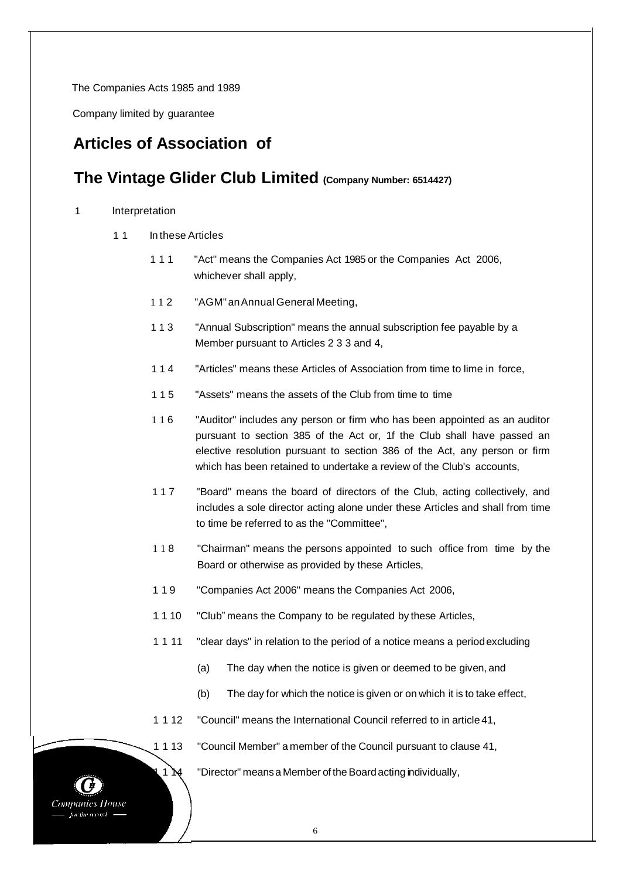The Companies Acts 1985 and 1989

Company limited by guarantee

# **Articles of Association of**

# **The Vintage Glider Club Limited (Company Number: 6514427)**

### 1 Interpretation

- 11 In these Articles
	- 1 1 1 "Act" means the Companies Act 1985 or the Companies Act 2006, whichever shall apply,
	- 1 1 2 "AGM"anAnnual General Meeting,
	- 1 1 3 "Annual Subscription" means the annual subscription fee payable by a Member pursuant to Articles 2 3 3 and 4,
	- 1 1 4 "Articles" means these Articles of Association from time to lime in force,
	- 1 1 5 "Assets" means the assets of the Club from time to time
	- 1 1 6 "Auditor" includes any person or firm who has been appointed as an auditor pursuant to section 385 of the Act or, 1f the Club shall have passed an elective resolution pursuant to section 386 of the Act, any person or firm which has been retained to undertake a review of the Club's accounts,
	- 1 1 7 "Board" means the board of directors of the Club, acting collectively, and includes a sole director acting alone under these Articles and shall from time to time be referred to as the "Committee",
	- 1 1 8 "Chairman" means the persons appointed to such office from time by the Board or otherwise as provided by these Articles,
	- 1 1 9 "Companies Act 2006" means the Companies Act 2006,
	- 1 1 10 "Club" means the Company to be regulated by these Articles,
	- 1 1 11 "clear days" in relation to the period of a notice means a periodexcluding
		- (a) The day when the notice is given or deemed to be given, and
		- (b) The day for which the notice is given or on which it is to take effect,
	- 1 1 12 "Council" means the International Council referred to in article 41,
	- 1 1 13 "Council Member" a member of the Council pursuant to clause 41,

1  $\mathcal{M}$  "Director" means a Member of the Board acting individually,

**Companies House** for the record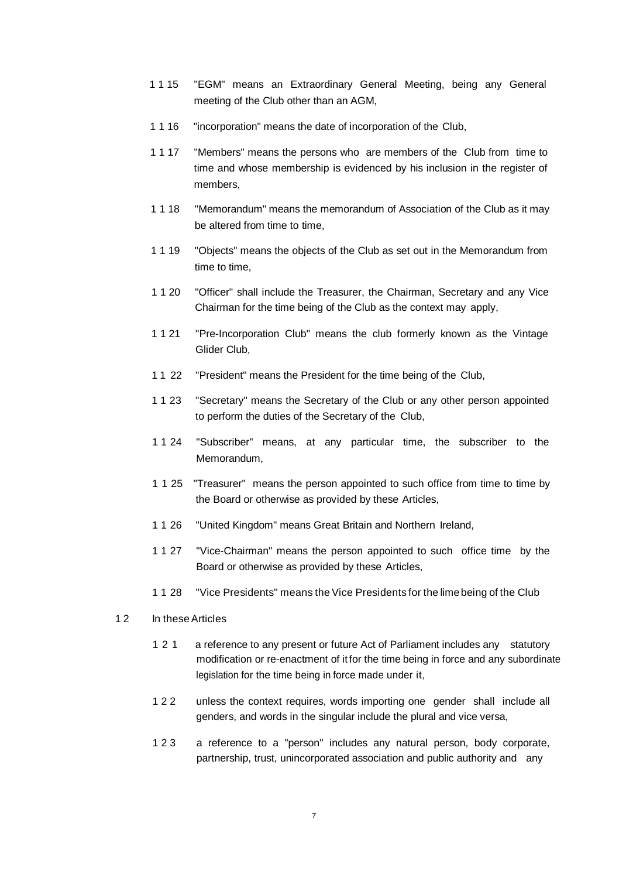- 1 1 15 "EGM" means an Extraordinary General Meeting, being any General meeting of the Club other than an AGM,
- 1 1 16 "incorporation" means the date of incorporation of the Club,
- 1 1 17 "Members" means the persons who are members of the Club from time to time and whose membership is evidenced by his inclusion in the register of members,
- 1 1 18 "Memorandum" means the memorandum of Association of the Club as it may be altered from time to time,
- 1 1 19 "Objects" means the objects of the Club as set out in the Memorandum from time to time,
- 1 1 20 "Officer" shall include the Treasurer, the Chairman, Secretary and any Vice Chairman for the time being of the Club as the context may apply,
- 1 1 21 "Pre-Incorporation Club" means the club formerly known as the Vintage Glider Club,
- 1 1 22 "President" means the President for the time being of the Club,
- 1 1 23 "Secretary" means the Secretary of the Club or any other person appointed to perform the duties of the Secretary of the Club,
- 1 1 24 "Subscriber" means, at any particular time, the subscriber to the Memorandum,
- 1 1 25 "Treasurer" means the person appointed to such office from time to time by the Board or otherwise as provided by these Articles,
- 1 1 26 "United Kingdom" means Great Britain and Northern Ireland,
- 1 1 27 "Vice-Chairman" means the person appointed to such office time by the Board or otherwise as provided by these Articles,
- 1 1 28 "Vice Presidents" means the Vice Presidents for the limebeing of the Club
- 12 In these Articles
	- 1 2 1 a reference to any present or future Act of Parliament includes any statutory modification or re-enactment of it for the time being in force and any subordinate legislation for the time being in force made under it,
	- 1 2 2 unless the context requires, words importing one gender shall include all genders, and words in the singular include the plural and vice versa,
	- 1 2 3 a reference to a "person" includes any natural person, body corporate, partnership, trust, unincorporated association and public authority and any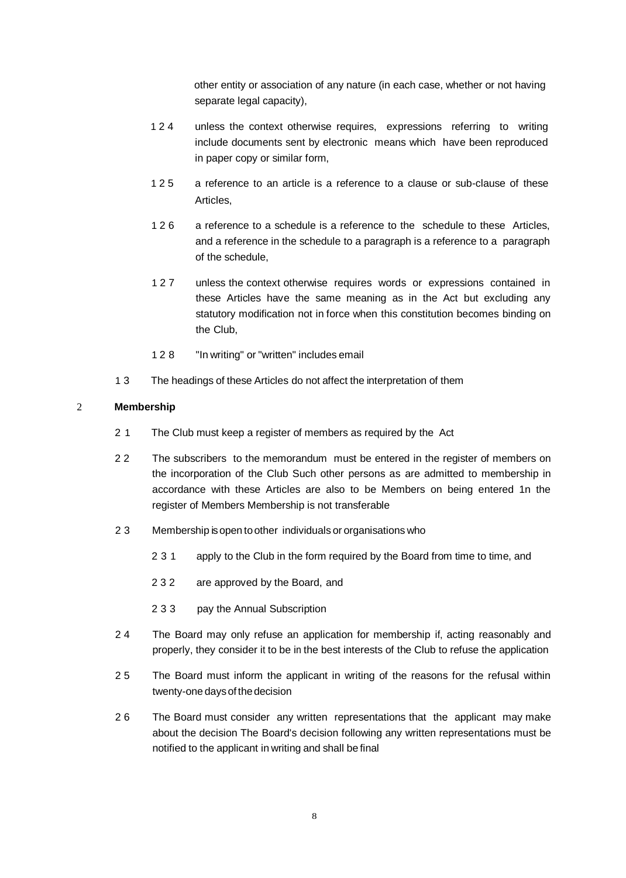other entity or association of any nature (in each case, whether or not having separate legal capacity),

- 1 2 4 unless the context otherwise requires, expressions referring to writing include documents sent by electronic means which have been reproduced in paper copy or similar form,
- 1 2 5 a reference to an article is a reference to a clause or sub-clause of these Articles,
- 1 2 6 a reference to a schedule is a reference to the schedule to these Articles, and a reference in the schedule to a paragraph is a reference to a paragraph of the schedule,
- 1 2 7 unless the context otherwise requires words or expressions contained in these Articles have the same meaning as in the Act but excluding any statutory modification not in force when this constitution becomes binding on the Club,
- 1 2 8 "In writing" or "written" includes email
- 1 3 The headings of these Articles do not affect the interpretation of them

# 2 **Membership**

- 2 1 The Club must keep a register of members as required by the Act
- 2 2 The subscribers to the memorandum must be entered in the register of members on the incorporation of the Club Such other persons as are admitted to membership in accordance with these Articles are also to be Members on being entered 1n the register of Members Membership is not transferable
- 2 3 Membership isopen toother individuals or organisations who
	- 2 3 1 apply to the Club in the form required by the Board from time to time, and
	- 2 3 2 are approved by the Board, and
	- 2 3 3 pay the Annual Subscription
- 2 4 The Board may only refuse an application for membership if, acting reasonably and properly, they consider it to be in the best interests of the Club to refuse the application
- 2 5 The Board must inform the applicant in writing of the reasons for the refusal within twenty-one days of the decision
- 2 6 The Board must consider any written representations that the applicant may make about the decision The Board's decision following any written representations must be notified to the applicant in writing and shall be final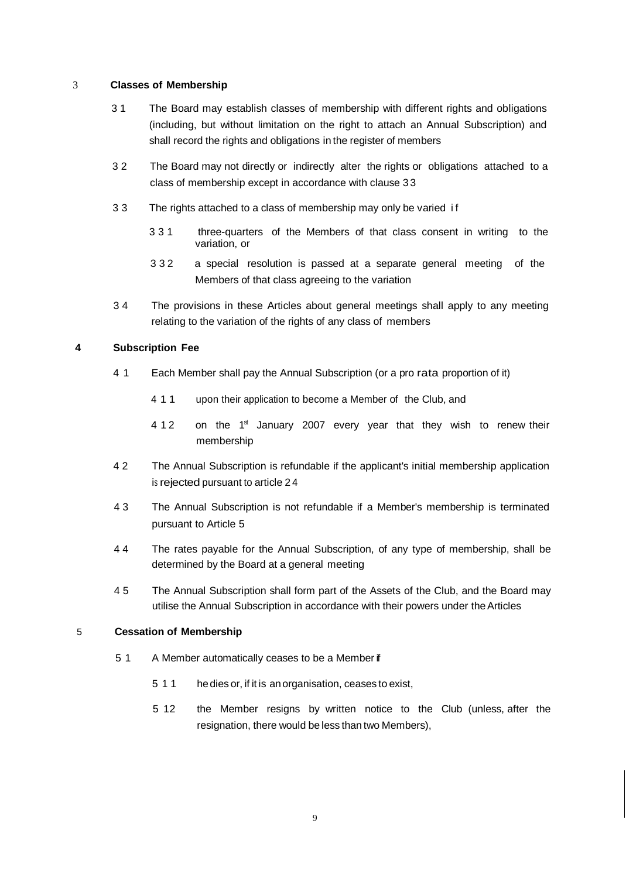# 3 **Classes of Membership**

- 3 1 The Board may establish classes of membership with different rights and obligations (including, but without limitation on the right to attach an Annual Subscription) and shall record the rights and obligations in the register of members
- 3 2 The Board may not directly or indirectly alter the rights or obligations attached to a class of membership except in accordance with clause 3 3
- 3 3 The rights attached to a class of membership may only be varied i f
	- 3 3 1 three-quarters of the Members of that class consent in writing to the variation, or
	- 3 3 2 a special resolution is passed at a separate general meeting of the Members of that class agreeing to the variation
- 3 4 The provisions in these Articles about general meetings shall apply to any meeting relating to the variation of the rights of any class of members

### **4 Subscription Fee**

- 4 1 Each Member shall pay the Annual Subscription (or a pro rata proportion of it)
	- 4 1 1 upon their application to become a Member of the Club, and
	- 4 1 2 on the 1<sup>st</sup> January 2007 every year that they wish to renew their membership
- 4 2 The Annual Subscription is refundable if the applicant's initial membership application is rejected pursuant to article 2 4
- 4 3 The Annual Subscription is not refundable if a Member's membership is terminated pursuant to Article 5
- 4 4 The rates payable for the Annual Subscription, of any type of membership, shall be determined by the Board at a general meeting
- 4 5 The Annual Subscription shall form part of the Assets of the Club, and the Board may utilise the Annual Subscription in accordance with their powers under theArticles

#### 5 **Cessation of Membership**

- 5 1 A Member automatically ceases to be a Member if
	- 5 1 1 hedies or, if it is anorganisation, ceases to exist,
	- 5 12 the Member resigns by written notice to the Club (unless, after the resignation, there would be less than two Members),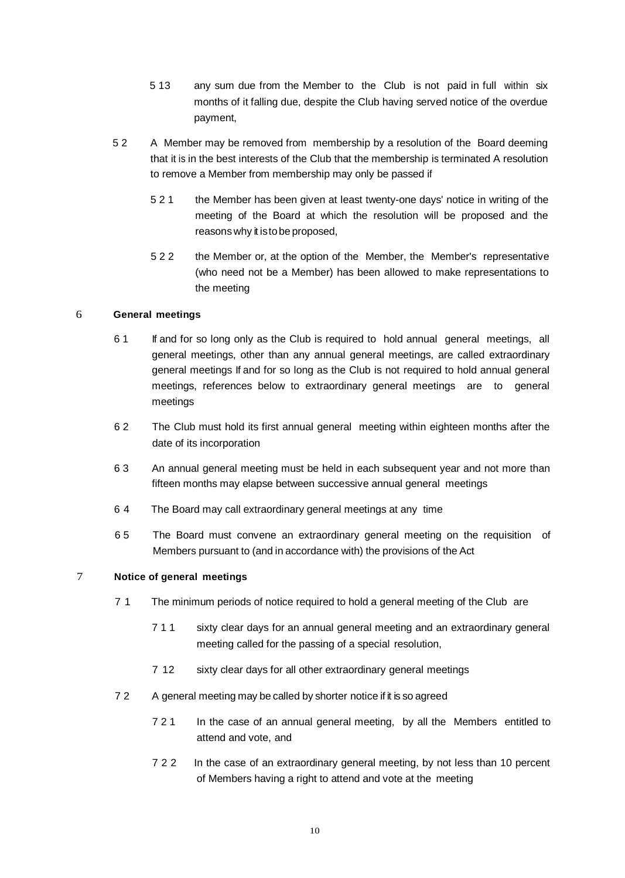- 5 13 any sum due from the Member to the Club is not paid in full within six months of it falling due, despite the Club having served notice of the overdue payment,
- 5 2 A Member may be removed from membership by a resolution of the Board deeming that it is in the best interests of the Club that the membership is terminated A resolution to remove a Member from membership may only be passed if
	- 5 2 1 the Member has been given at least twenty-one days' notice in writing of the meeting of the Board at which the resolution will be proposed and the reasons why it istobe proposed,
	- 5 2 2 the Member or, at the option of the Member, the Member's representative (who need not be a Member) has been allowed to make representations to the meeting

# 6 **General meetings**

- 6 1 If and for so long only as the Club is required to hold annual general meetings, all general meetings, other than any annual general meetings, are called extraordinary general meetings If and for so long as the Club is not required to hold annual general meetings, references below to extraordinary general meetings are to general meetings
- 6 2 The Club must hold its first annual general meeting within eighteen months after the date of its incorporation
- 6 3 An annual general meeting must be held in each subsequent year and not more than fifteen months may elapse between successive annual general meetings
- 6 4 The Board may call extraordinary general meetings at any time
- 6 5 The Board must convene an extraordinary general meeting on the requisition of Members pursuant to (and in accordance with) the provisions of the Act

# 7 **Notice of general meetings**

- 7 1 The minimum periods of notice required to hold a general meeting of the Club are
	- 7 1 1 sixty clear days for an annual general meeting and an extraordinary general meeting called for the passing of a special resolution,
	- 7 12 sixty clear days for all other extraordinary general meetings
- 7 2 A general meeting may be called by shorter notice if it is so agreed
	- 7 2 1 In the case of an annual general meeting, by all the Members entitled to attend and vote, and
	- 7 2 2 In the case of an extraordinary general meeting, by not less than 10 percent of Members having a right to attend and vote at the meeting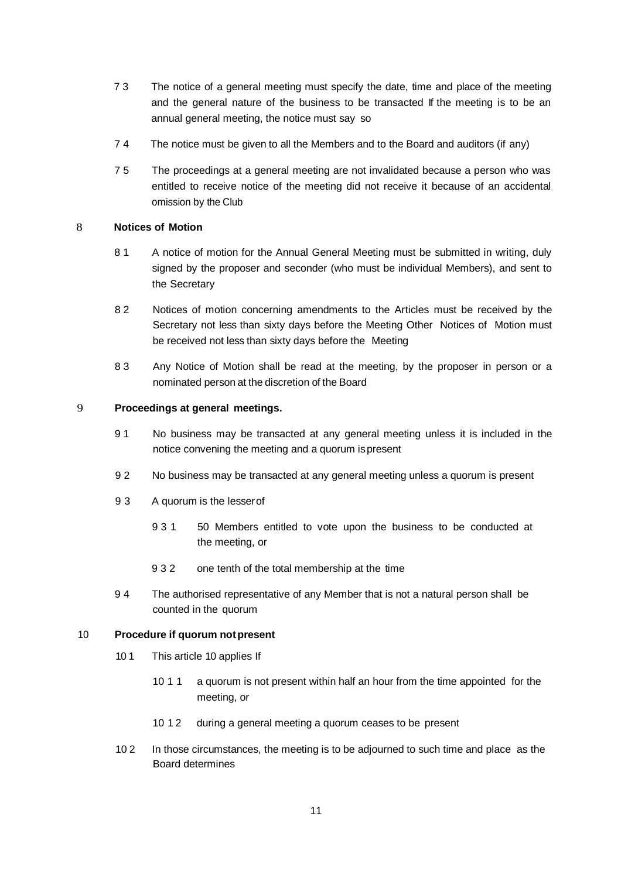- 7 3 The notice of a general meeting must specify the date, time and place of the meeting and the general nature of the business to be transacted If the meeting is to be an annual general meeting, the notice must say so
- 7 4 The notice must be given to all the Members and to the Board and auditors (if any)
- 7 5 The proceedings at a general meeting are not invalidated because a person who was entitled to receive notice of the meeting did not receive it because of an accidental omission by the Club

### 8 **Notices of Motion**

- 8 1 A notice of motion for the Annual General Meeting must be submitted in writing, duly signed by the proposer and seconder (who must be individual Members), and sent to the Secretary
- 8 2 Notices of motion concerning amendments to the Articles must be received by the Secretary not less than sixty days before the Meeting Other Notices of Motion must be received not less than sixty days before the Meeting
- 8 3 Any Notice of Motion shall be read at the meeting, by the proposer in person or a nominated person at the discretion of the Board

### 9 **Proceedings at general meetings.**

- 9 1 No business may be transacted at any general meeting unless it is included in the notice convening the meeting and a quorum ispresent
- 9 2 No business may be transacted at any general meeting unless a quorum is present
- 9 3 A quorum is the lesserof
	- 9 3 1 50 Members entitled to vote upon the business to be conducted at the meeting, or
	- 9 3 2 one tenth of the total membership at the time
- 9 4 The authorised representative of any Member that is not a natural person shall be counted in the quorum

#### 10 **Procedure if quorum notpresent**

- 10 1 This article 10 applies If
	- 10 1 1 a quorum is not present within half an hour from the time appointed for the meeting, or
	- 10 1 2 during a general meeting a quorum ceases to be present
- 10 2 In those circumstances, the meeting is to be adjourned to such time and place as the Board determines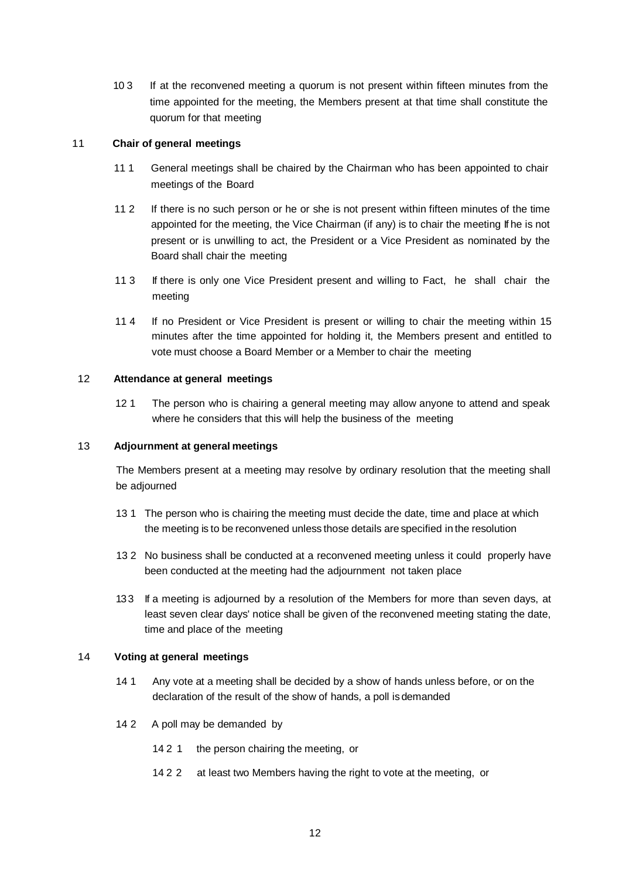10 3 If at the reconvened meeting a quorum is not present within fifteen minutes from the time appointed for the meeting, the Members present at that time shall constitute the quorum for that meeting

# 11 **Chair of general meetings**

- 11 1 General meetings shall be chaired by the Chairman who has been appointed to chair meetings of the Board
- 11 2 If there is no such person or he or she is not present within fifteen minutes of the time appointed for the meeting, the Vice Chairman (if any) is to chair the meeting If he is not present or is unwilling to act, the President or a Vice President as nominated by the Board shall chair the meeting
- 11 3 If there is only one Vice President present and willing to Fact, he shall chair the meeting
- 11 4 If no President or Vice President is present or willing to chair the meeting within 15 minutes after the time appointed for holding it, the Members present and entitled to vote must choose a Board Member or a Member to chair the meeting

# 12 **Attendance at general meetings**

12 1 The person who is chairing a general meeting may allow anyone to attend and speak where he considers that this will help the business of the meeting

# 13 **Adjournment at general meetings**

The Members present at a meeting may resolve by ordinary resolution that the meeting shall be adjourned

- 13 1 The person who is chairing the meeting must decide the date, time and place at which the meeting is to be reconvened unless those details are specified in the resolution
- 13 2 No business shall be conducted at a reconvened meeting unless it could properly have been conducted at the meeting had the adjournment not taken place
- 13 3 If a meeting is adjourned by a resolution of the Members for more than seven days, at least seven clear days' notice shall be given of the reconvened meeting stating the date, time and place of the meeting

# 14 **Voting at general meetings**

- 14 1 Any vote at a meeting shall be decided by a show of hands unless before, or on the declaration of the result of the show of hands, a poll is demanded
- 14 2 A poll may be demanded by
	- 14 2 1 the person chairing the meeting, or
	- 14 2 2 at least two Members having the right to vote at the meeting, or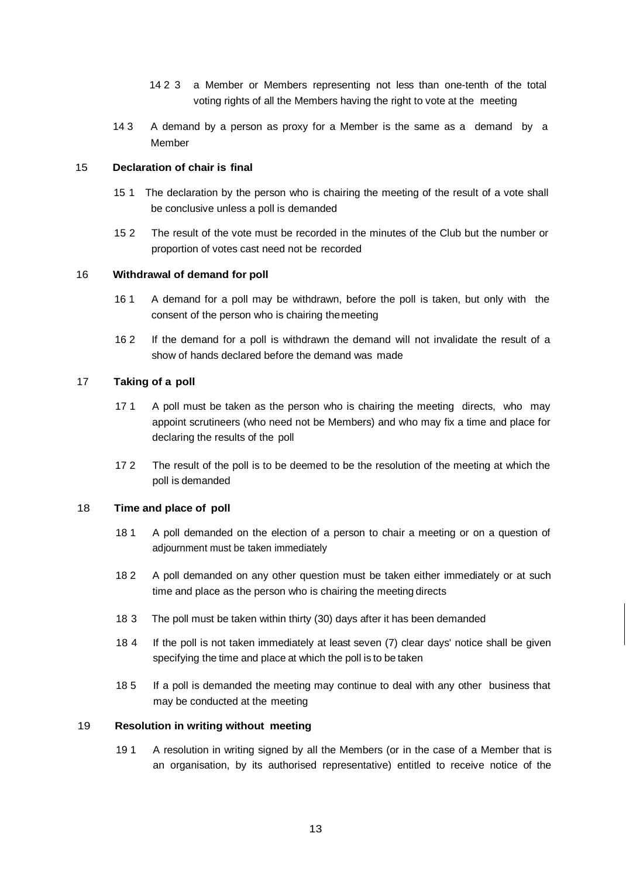- 14 2 3 a Member or Members representing not less than one-tenth of the total voting rights of all the Members having the right to vote at the meeting
- 14 3 A demand by a person as proxy for a Member is the same as a demand by a Member

### 15 **Declaration of chair is final**

- 15 1 The declaration by the person who is chairing the meeting of the result of a vote shall be conclusive unless a poll is demanded
- 15 2 The result of the vote must be recorded in the minutes of the Club but the number or proportion of votes cast need not be recorded

## 16 **Withdrawal of demand for poll**

- 16 1 A demand for a poll may be withdrawn, before the poll is taken, but only with the consent of the person who is chairing themeeting
- 16 2 If the demand for a poll is withdrawn the demand will not invalidate the result of a show of hands declared before the demand was made

## 17 **Taking of a poll**

- 17 1 A poll must be taken as the person who is chairing the meeting directs, who may appoint scrutineers (who need not be Members) and who may fix a time and place for declaring the results of the poll
- 17 2 The result of the poll is to be deemed to be the resolution of the meeting at which the poll is demanded

### 18 **Time and place of poll**

- 18 1 A poll demanded on the election of a person to chair a meeting or on a question of adjournment must be taken immediately
- 18 2 A poll demanded on any other question must be taken either immediately or at such time and place as the person who is chairing the meeting directs
- 18 3 The poll must be taken within thirty (30) days after it has been demanded
- 18 4 If the poll is not taken immediately at least seven (7) clear days' notice shall be given specifying the time and place at which the poll is to be taken
- 18 5 If a poll is demanded the meeting may continue to deal with any other business that may be conducted at the meeting

#### 19 **Resolution in writing without meeting**

19 1 A resolution in writing signed by all the Members (or in the case of a Member that is an organisation, by its authorised representative) entitled to receive notice of the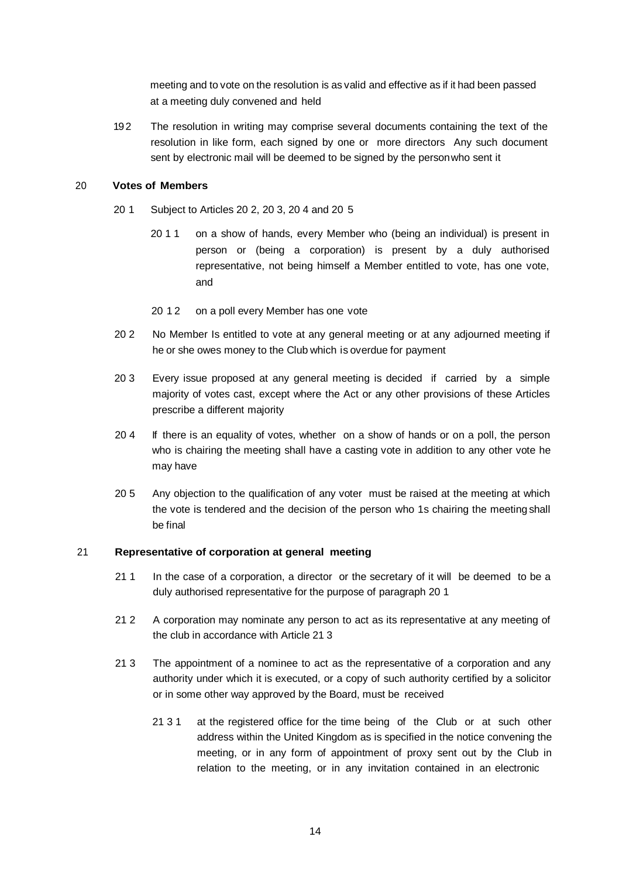meeting and to vote on the resolution is as valid and effective as if it had been passed at a meeting duly convened and held

192 The resolution in writing may comprise several documents containing the text of the resolution in like form, each signed by one or more directors Any such document sent by electronic mail will be deemed to be signed by the personwho sent it

# 20 **Votes of Members**

- 20 1 Subject to Articles 20 2, 20 3, 20 4 and 20 5
	- 20 1 1 on a show of hands, every Member who (being an individual) is present in person or (being a corporation) is present by a duly authorised representative, not being himself a Member entitled to vote, has one vote, and
	- 20 12 on a poll every Member has one vote
- 20 2 No Member Is entitled to vote at any general meeting or at any adjourned meeting if he or she owes money to the Club which is overdue for payment
- 20 3 Every issue proposed at any general meeting is decided if carried by a simple majority of votes cast, except where the Act or any other provisions of these Articles prescribe a different majority
- 20 4 If there is an equality of votes, whether on a show of hands or on a poll, the person who is chairing the meeting shall have a casting vote in addition to any other vote he may have
- 20 5 Any objection to the qualification of any voter must be raised at the meeting at which the vote is tendered and the decision of the person who 1s chairing the meeting shall be final

# 21 **Representative of corporation at general meeting**

- 21 1 In the case of a corporation, a director or the secretary of it will be deemed to be a duly authorised representative for the purpose of paragraph 20 1
- 21 2 A corporation may nominate any person to act as its representative at any meeting of the club in accordance with Article 21 3
- 21 3 The appointment of a nominee to act as the representative of a corporation and any authority under which it is executed, or a copy of such authority certified by a solicitor or in some other way approved by the Board, must be received
	- 21 3 1 at the registered office for the time being of the Club or at such other address within the United Kingdom as is specified in the notice convening the meeting, or in any form of appointment of proxy sent out by the Club in relation to the meeting, or in any invitation contained in an electronic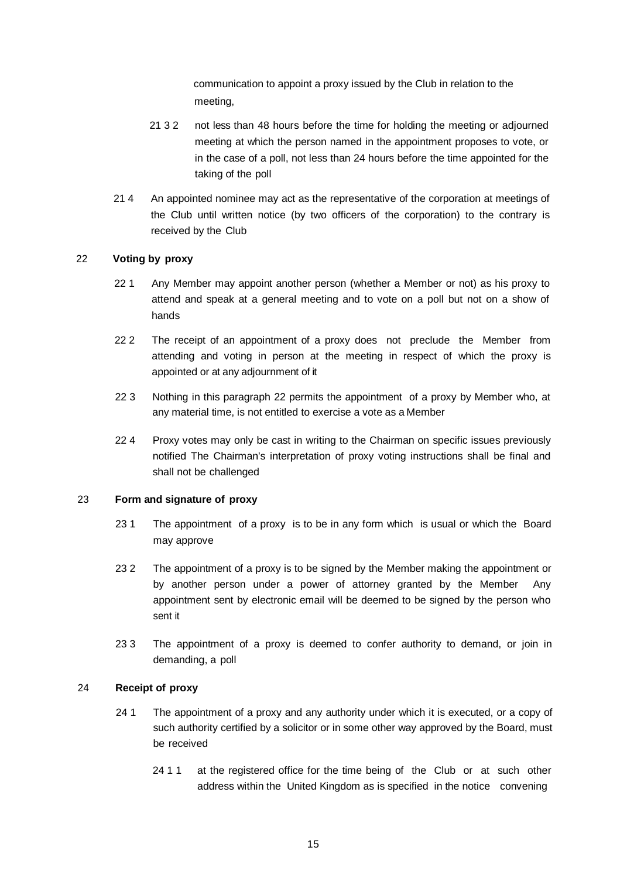communication to appoint a proxy issued by the Club in relation to the meeting,

- 21 3 2 not less than 48 hours before the time for holding the meeting or adjourned meeting at which the person named in the appointment proposes to vote, or in the case of a poll, not less than 24 hours before the time appointed for the taking of the poll
- 21 4 An appointed nominee may act as the representative of the corporation at meetings of the Club until written notice (by two officers of the corporation) to the contrary is received by the Club

# 22 **Voting by proxy**

- 22 1 Any Member may appoint another person (whether a Member or not) as his proxy to attend and speak at a general meeting and to vote on a poll but not on a show of hands
- 22.2 The receipt of an appointment of a proxy does not preclude the Member from attending and voting in person at the meeting in respect of which the proxy is appointed or at any adjournment of it
- 22 3 Nothing in this paragraph 22 permits the appointment of a proxy by Member who, at any material time, is not entitled to exercise a vote as a Member
- 22 4 Proxy votes may only be cast in writing to the Chairman on specific issues previously notified The Chairman's interpretation of proxy voting instructions shall be final and shall not be challenged

#### 23 **Form and signature of proxy**

- 23 1 The appointment of a proxy is to be in any form which is usual or which the Board may approve
- 23 2 The appointment of a proxy is to be signed by the Member making the appointment or by another person under a power of attorney granted by the Member Any appointment sent by electronic email will be deemed to be signed by the person who sent it
- 23 3 The appointment of a proxy is deemed to confer authority to demand, or join in demanding, a poll

#### 24 **Receipt of proxy**

- 24 1 The appointment of a proxy and any authority under which it is executed, or a copy of such authority certified by a solicitor or in some other way approved by the Board, must be received
	- 24 1 1 at the registered office for the time being of the Club or at such other address within the United Kingdom as is specified in the notice convening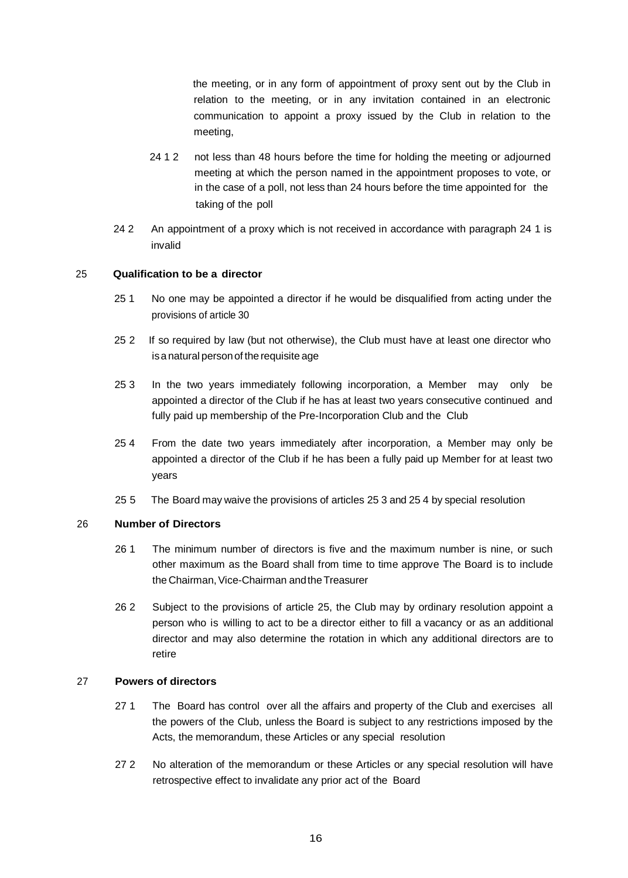the meeting, or in any form of appointment of proxy sent out by the Club in relation to the meeting, or in any invitation contained in an electronic communication to appoint a proxy issued by the Club in relation to the meeting,

- 24 1 2 not less than 48 hours before the time for holding the meeting or adjourned meeting at which the person named in the appointment proposes to vote, or in the case of a poll, not less than 24 hours before the time appointed for the taking of the poll
- 24 2 An appointment of a proxy which is not received in accordance with paragraph 24 1 is invalid

## 25 **Qualification to be a director**

- 25 1 No one may be appointed a director if he would be disqualified from acting under the provisions of article 30
- 25 2 If so required by law (but not otherwise), the Club must have at least one director who is a natural person of the requisite age
- 25 3 In the two years immediately following incorporation, a Member may only be appointed a director of the Club if he has at least two years consecutive continued and fully paid up membership of the Pre-Incorporation Club and the Club
- 25 4 From the date two years immediately after incorporation, a Member may only be appointed a director of the Club if he has been a fully paid up Member for at least two years
- 25 5 The Board may waive the provisions of articles 25 3 and 25 4 by special resolution

#### 26 **Number of Directors**

- 26 1 The minimum number of directors is five and the maximum number is nine, or such other maximum as the Board shall from time to time approve The Board is to include the Chairman, Vice-Chairman and the Treasurer
- 26 2 Subject to the provisions of article 25, the Club may by ordinary resolution appoint a person who is willing to act to be a director either to fill a vacancy or as an additional director and may also determine the rotation in which any additional directors are to retire

#### 27 **Powers of directors**

- 27 1 The Board has control over all the affairs and property of the Club and exercises all the powers of the Club, unless the Board is subject to any restrictions imposed by the Acts, the memorandum, these Articles or any special resolution
- 27 2 No alteration of the memorandum or these Articles or any special resolution will have retrospective effect to invalidate any prior act of the Board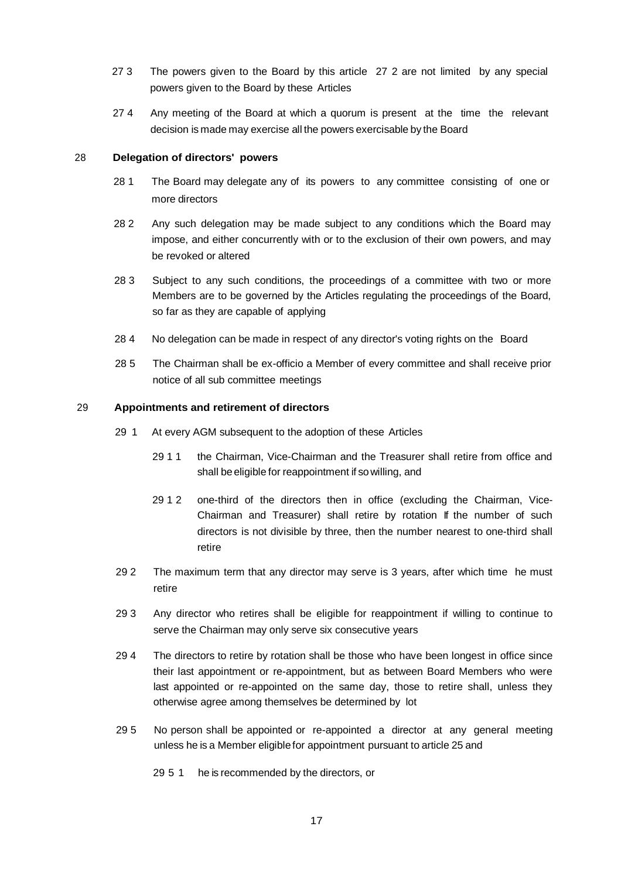- 27 3 The powers given to the Board by this article 27 2 are not limited by any special powers given to the Board by these Articles
- 27 4 Any meeting of the Board at which a quorum is present at the time the relevant decision is made may exercise all the powers exercisable by the Board

# 28 **Delegation of directors' powers**

- 28 1 The Board may delegate any of its powers to any committee consisting of one or more directors
- 28 2 Any such delegation may be made subject to any conditions which the Board may impose, and either concurrently with or to the exclusion of their own powers, and may be revoked or altered
- 28 3 Subject to any such conditions, the proceedings of a committee with two or more Members are to be governed by the Articles regulating the proceedings of the Board, so far as they are capable of applying
- 28 4 No delegation can be made in respect of any director's voting rights on the Board
- 28 5 The Chairman shall be ex-officio a Member of every committee and shall receive prior notice of all sub committee meetings

## 29 **Appointments and retirement of directors**

- 29 1 At every AGM subsequent to the adoption of these Articles
	- 29 1 1 the Chairman, Vice-Chairman and the Treasurer shall retire from office and shall be eligible for reappointment if so willing, and
	- 29 1 2 one-third of the directors then in office (excluding the Chairman, Vice-Chairman and Treasurer) shall retire by rotation If the number of such directors is not divisible by three, then the number nearest to one-third shall retire
- 29 2 The maximum term that any director may serve is 3 years, after which time he must retire
- 29 3 Any director who retires shall be eligible for reappointment if willing to continue to serve the Chairman may only serve six consecutive years
- 29 4 The directors to retire by rotation shall be those who have been longest in office since their last appointment or re-appointment, but as between Board Members who were last appointed or re-appointed on the same day, those to retire shall, unless they otherwise agree among themselves be determined by lot
- 29 5 No person shall be appointed or re-appointed a director at any general meeting unless he is a Member eligiblefor appointment pursuant to article 25 and
	- 29 5 1 he is recommended by the directors, or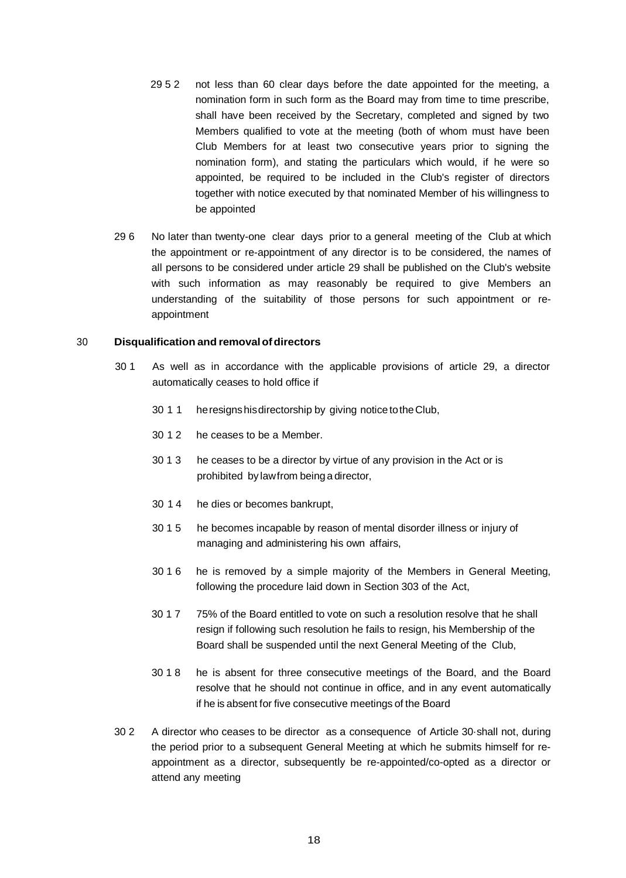- 29 5 2 not less than 60 clear days before the date appointed for the meeting, a nomination form in such form as the Board may from time to time prescribe, shall have been received by the Secretary, completed and signed by two Members qualified to vote at the meeting (both of whom must have been Club Members for at least two consecutive years prior to signing the nomination form), and stating the particulars which would, if he were so appointed, be required to be included in the Club's register of directors together with notice executed by that nominated Member of his willingness to be appointed
- 29 6 No later than twenty-one clear days prior to a general meeting of the Club at which the appointment or re-appointment of any director is to be considered, the names of all persons to be considered under article 29 shall be published on the Club's website with such information as may reasonably be required to give Members an understanding of the suitability of those persons for such appointment or reappointment

#### 30 **Disqualification and removalofdirectors**

- 30 1 As well as in accordance with the applicable provisions of article 29, a director automatically ceases to hold office if
	- 30 1 1 heresignshisdirectorship by giving noticetotheClub,
	- 30 1 2 he ceases to be a Member.
	- 30 1 3 he ceases to be a director by virtue of any provision in the Act or is prohibited by lawfrom beinga director,
	- 30 1 4 he dies or becomes bankrupt,
	- 30 1 5 he becomes incapable by reason of mental disorder illness or injury of managing and administering his own affairs,
	- 30 1 6 he is removed by a simple majority of the Members in General Meeting, following the procedure laid down in Section 303 of the Act,
	- 30 1 7 75% of the Board entitled to vote on such a resolution resolve that he shall resign if following such resolution he fails to resign, his Membership of the Board shall be suspended until the next General Meeting of the Club,
	- 30 1 8 he is absent for three consecutive meetings of the Board, and the Board resolve that he should not continue in office, and in any event automatically if he is absent for five consecutive meetings of the Board
- 30 2 A director who ceases to be director as a consequence of Article 30·shall not, during the period prior to a subsequent General Meeting at which he submits himself for reappointment as a director, subsequently be re-appointed/co-opted as a director or attend any meeting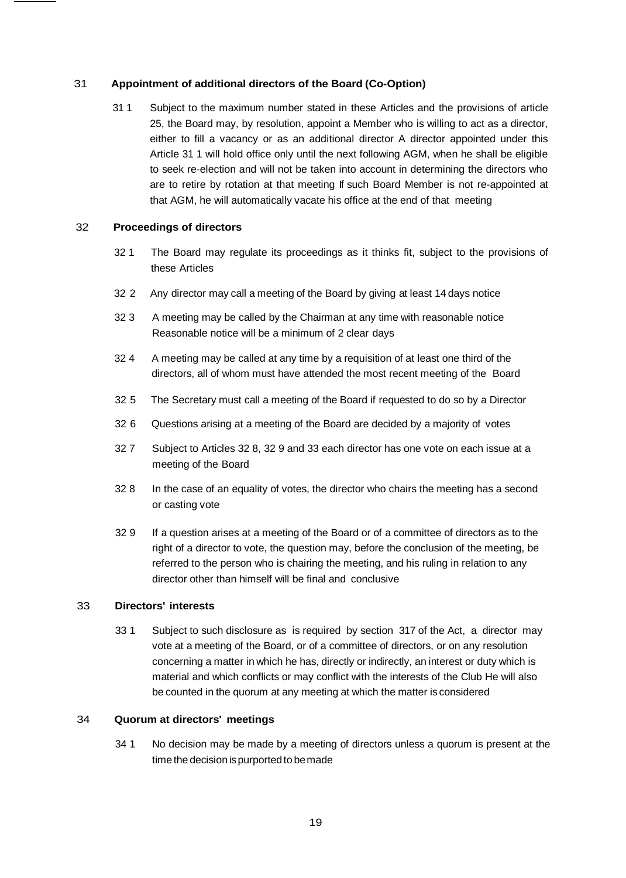# 31 **Appointment of additional directors of the Board (Co-Option)**

31 1 Subject to the maximum number stated in these Articles and the provisions of article 25, the Board may, by resolution, appoint a Member who is willing to act as a director, either to fill a vacancy or as an additional director A director appointed under this Article 31 1 will hold office only until the next following AGM, when he shall be eligible to seek re-election and will not be taken into account in determining the directors who are to retire by rotation at that meeting If such Board Member is not re-appointed at that AGM, he will automatically vacate his office at the end of that meeting

# 32 **Proceedings of directors**

- 32 1 The Board may regulate its proceedings as it thinks fit, subject to the provisions of these Articles
- 32 2 Any director may call a meeting of the Board by giving at least 14 days notice
- 32 3 A meeting may be called by the Chairman at any time with reasonable notice Reasonable notice will be a minimum of 2 clear days
- 32 4 A meeting may be called at any time by a requisition of at least one third of the directors, all of whom must have attended the most recent meeting of the Board
- 32 5 The Secretary must call a meeting of the Board if requested to do so by a Director
- 32 6 Questions arising at a meeting of the Board are decided by a majority of votes
- 32 7 Subject to Articles 32 8, 32 9 and 33 each director has one vote on each issue at a meeting of the Board
- 32 8 In the case of an equality of votes, the director who chairs the meeting has a second or casting vote
- 32 9 If a question arises at a meeting of the Board or of a committee of directors as to the right of a director to vote, the question may, before the conclusion of the meeting, be referred to the person who is chairing the meeting, and his ruling in relation to any director other than himself will be final and conclusive

#### 33 **Directors' interests**

33 1 Subject to such disclosure as is required by section 317 of the Act, a director may vote at a meeting of the Board, or of a committee of directors, or on any resolution concerning a matter in which he has, directly or indirectly, an interest or duty which is material and which conflicts or may conflict with the interests of the Club He will also be counted in the quorum at any meeting at which the matter is considered

#### 34 **Quorum at directors' meetings**

34 1 No decision may be made by a meeting of directors unless a quorum is present at the timethe decision ispurportedto bemade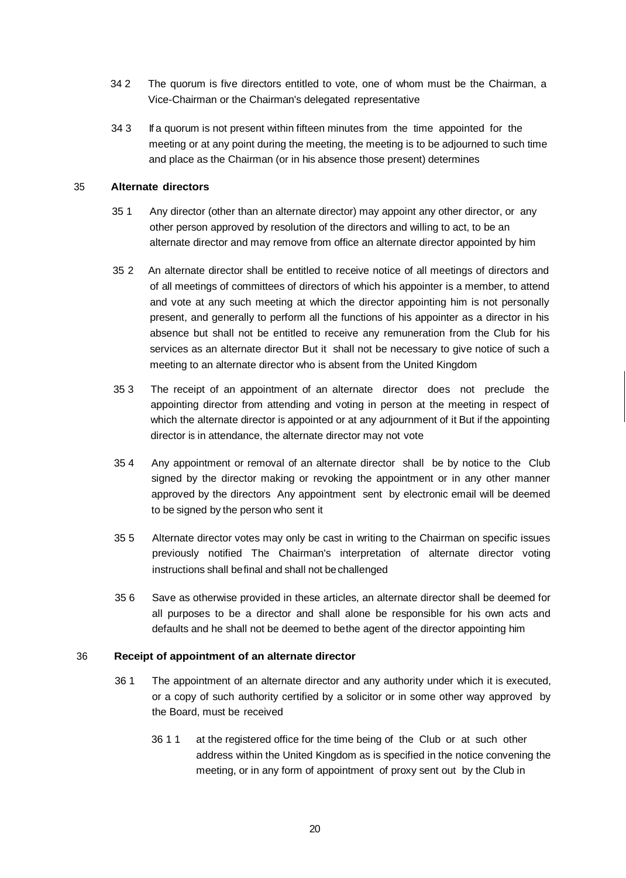- 34 2 The quorum is five directors entitled to vote, one of whom must be the Chairman, a Vice-Chairman or the Chairman's delegated representative
- 34 3 If a quorum is not present within fifteen minutes from the time appointed for the meeting or at any point during the meeting, the meeting is to be adjourned to such time and place as the Chairman (or in his absence those present) determines

### 35 **Alternate directors**

- 35 1 Any director (other than an alternate director) may appoint any other director, or any other person approved by resolution of the directors and willing to act, to be an alternate director and may remove from office an alternate director appointed by him
- 35 2 An alternate director shall be entitled to receive notice of all meetings of directors and of all meetings of committees of directors of which his appointer is a member, to attend and vote at any such meeting at which the director appointing him is not personally present, and generally to perform all the functions of his appointer as a director in his absence but shall not be entitled to receive any remuneration from the Club for his services as an alternate director But it shall not be necessary to give notice of such a meeting to an alternate director who is absent from the United Kingdom
- 35 3 The receipt of an appointment of an alternate director does not preclude the appointing director from attending and voting in person at the meeting in respect of which the alternate director is appointed or at any adjournment of it But if the appointing director is in attendance, the alternate director may not vote
- 35 4 Any appointment or removal of an alternate director shall be by notice to the Club signed by the director making or revoking the appointment or in any other manner approved by the directors Any appointment sent by electronic email will be deemed to be signed by the person who sent it
- 35 5 Alternate director votes may only be cast in writing to the Chairman on specific issues previously notified The Chairman's interpretation of alternate director voting instructions shall befinal and shall not bechallenged
- 35 6 Save as otherwise provided in these articles, an alternate director shall be deemed for all purposes to be a director and shall alone be responsible for his own acts and defaults and he shall not be deemed to bethe agent of the director appointing him

#### 36 **Receipt of appointment of an alternate director**

- 36 1 The appointment of an alternate director and any authority under which it is executed, or a copy of such authority certified by a solicitor or in some other way approved by the Board, must be received
	- 36 1 1 at the registered office for the time being of the Club or at such other address within the United Kingdom as is specified in the notice convening the meeting, or in any form of appointment of proxy sent out by the Club in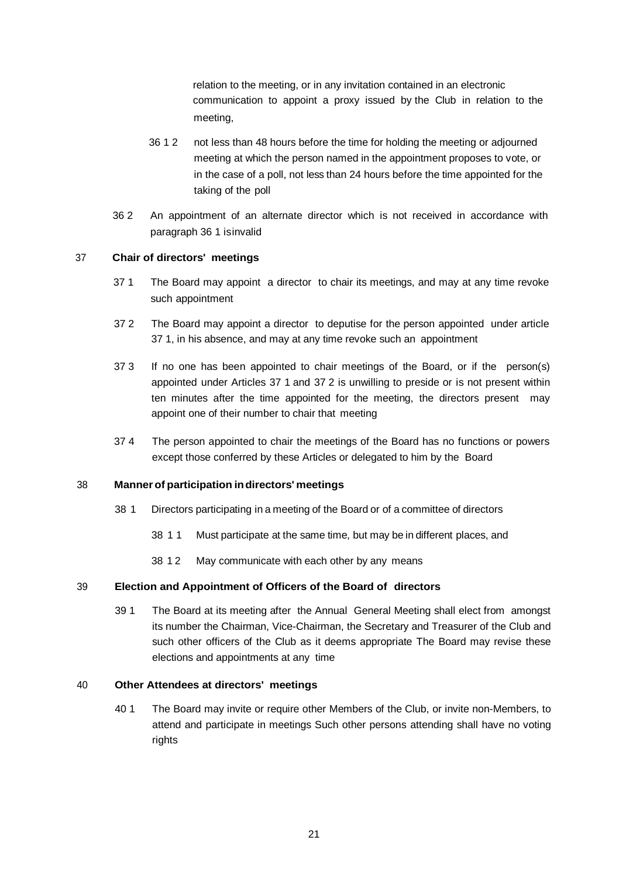relation to the meeting, or in any invitation contained in an electronic communication to appoint a proxy issued by the Club in relation to the meeting,

- 36 1 2 not less than 48 hours before the time for holding the meeting or adjourned meeting at which the person named in the appointment proposes to vote, or in the case of a poll, not less than 24 hours before the time appointed for the taking of the poll
- 36 2 An appointment of an alternate director which is not received in accordance with paragraph 36 1 isinvalid

# 37 **Chair of directors' meetings**

- 37 1 The Board may appoint a director to chair its meetings, and may at any time revoke such appointment
- 37 2 The Board may appoint a director to deputise for the person appointed under article 37 1, in his absence, and may at any time revoke such an appointment
- 37 3 If no one has been appointed to chair meetings of the Board, or if the person(s) appointed under Articles 37 1 and 37 2 is unwilling to preside or is not present within ten minutes after the time appointed for the meeting, the directors present may appoint one of their number to chair that meeting
- 37 4 The person appointed to chair the meetings of the Board has no functions or powers except those conferred by these Articles or delegated to him by the Board

# 38 **Manner of participation indirectors' meetings**

- 38 1 Directors participating in a meeting of the Board or of a committee of directors
	- 38 1 1 Must participate at the same time, but may be in different places, and
	- 38 1 2 May communicate with each other by any means

### 39 **Election and Appointment of Officers of the Board of directors**

39 1 The Board at its meeting after the Annual General Meeting shall elect from amongst its number the Chairman, Vice-Chairman, the Secretary and Treasurer of the Club and such other officers of the Club as it deems appropriate The Board may revise these elections and appointments at any time

# 40 **Other Attendees at directors' meetings**

40 1 The Board may invite or require other Members of the Club, or invite non-Members, to attend and participate in meetings Such other persons attending shall have no voting rights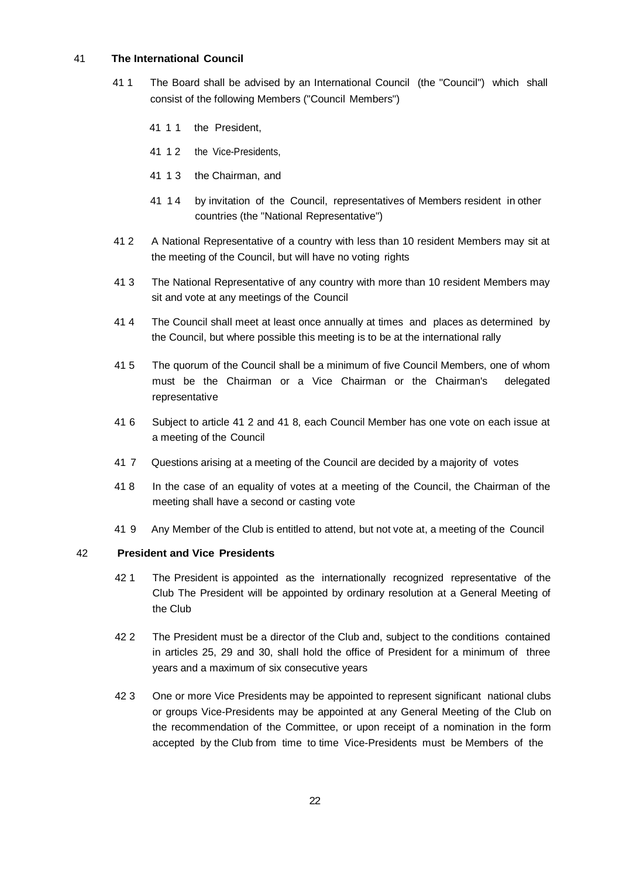# 41 **The International Council**

- 41 1 The Board shall be advised by an International Council (the "Council") which shall consist of the following Members ("Council Members")
	- 41 1 1 the President,
	- 41 12 the Vice-Presidents,
	- 41 1 3 the Chairman, and
	- 41 1 4 by invitation of the Council, representatives of Members resident in other countries (the "National Representative")
- 41 2 A National Representative of a country with less than 10 resident Members may sit at the meeting of the Council, but will have no voting rights
- 41 3 The National Representative of any country with more than 10 resident Members may sit and vote at any meetings of the Council
- 41 4 The Council shall meet at least once annually at times and places as determined by the Council, but where possible this meeting is to be at the international rally
- 41 5 The quorum of the Council shall be a minimum of five Council Members, one of whom must be the Chairman or a Vice Chairman or the Chairman's delegated representative
- 41 6 Subject to article 41 2 and 41 8, each Council Member has one vote on each issue at a meeting of the Council
- 41 7 Questions arising at a meeting of the Council are decided by a majority of votes
- 41 8 In the case of an equality of votes at a meeting of the Council, the Chairman of the meeting shall have a second or casting vote
- 41 9 Any Member of the Club is entitled to attend, but not vote at, a meeting of the Council

# 42 **President and Vice Presidents**

- 42 1 The President is appointed as the internationally recognized representative of the Club The President will be appointed by ordinary resolution at a General Meeting of the Club
- 42 2 The President must be a director of the Club and, subject to the conditions contained in articles 25, 29 and 30, shall hold the office of President for a minimum of three years and a maximum of six consecutive years
- 42 3 One or more Vice Presidents may be appointed to represent significant national clubs or groups Vice-Presidents may be appointed at any General Meeting of the Club on the recommendation of the Committee, or upon receipt of a nomination in the form accepted by the Club from time to time Vice-Presidents must be Members of the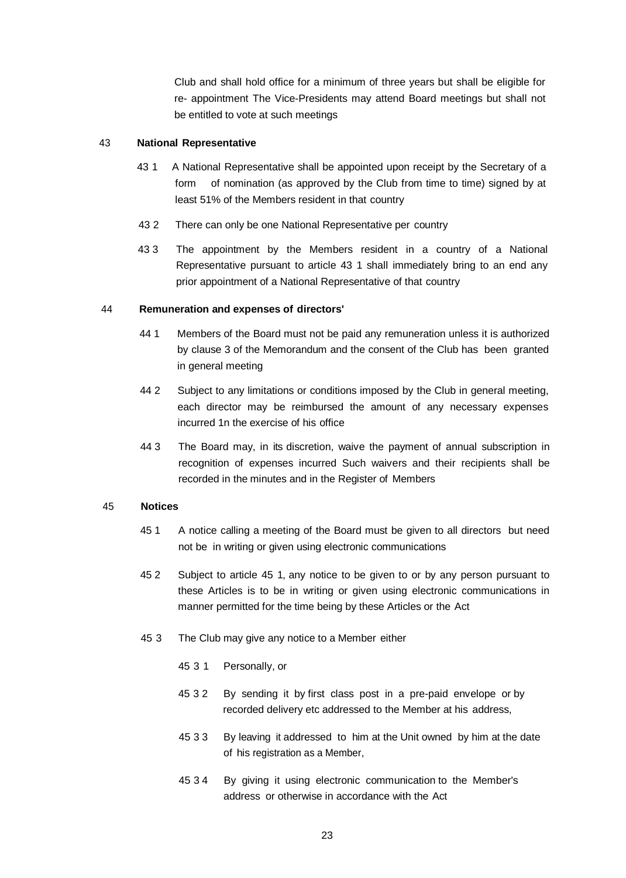Club and shall hold office for a minimum of three years but shall be eligible for re- appointment The Vice-Presidents may attend Board meetings but shall not be entitled to vote at such meetings

### 43 **National Representative**

- 43 1 A National Representative shall be appointed upon receipt by the Secretary of a form of nomination (as approved by the Club from time to time) signed by at least 51% of the Members resident in that country
- 43 2 There can only be one National Representative per country
- 43 3 The appointment by the Members resident in a country of a National Representative pursuant to article 43 1 shall immediately bring to an end any prior appointment of a National Representative of that country

# 44 **Remuneration and expenses of directors'**

- 44 1 Members of the Board must not be paid any remuneration unless it is authorized by clause 3 of the Memorandum and the consent of the Club has been granted in general meeting
- 44 2 Subject to any limitations or conditions imposed by the Club in general meeting, each director may be reimbursed the amount of any necessary expenses incurred 1n the exercise of his office
- 44 3 The Board may, in its discretion, waive the payment of annual subscription in recognition of expenses incurred Such waivers and their recipients shall be recorded in the minutes and in the Register of Members

#### 45 **Notices**

- 45 1 A notice calling a meeting of the Board must be given to all directors but need not be in writing or given using electronic communications
- 45 2 Subject to article 45 1, any notice to be given to or by any person pursuant to these Articles is to be in writing or given using electronic communications in manner permitted for the time being by these Articles or the Act
- 45 3 The Club may give any notice to a Member either
	- 45 3 1 Personally, or
	- 45 3 2 By sending it by first class post in a pre-paid envelope or by recorded delivery etc addressed to the Member at his address,
	- 45 3 3 By leaving it addressed to him at the Unit owned by him at the date of his registration as a Member,
	- 45 3 4 By giving it using electronic communication to the Member's address or otherwise in accordance with the Act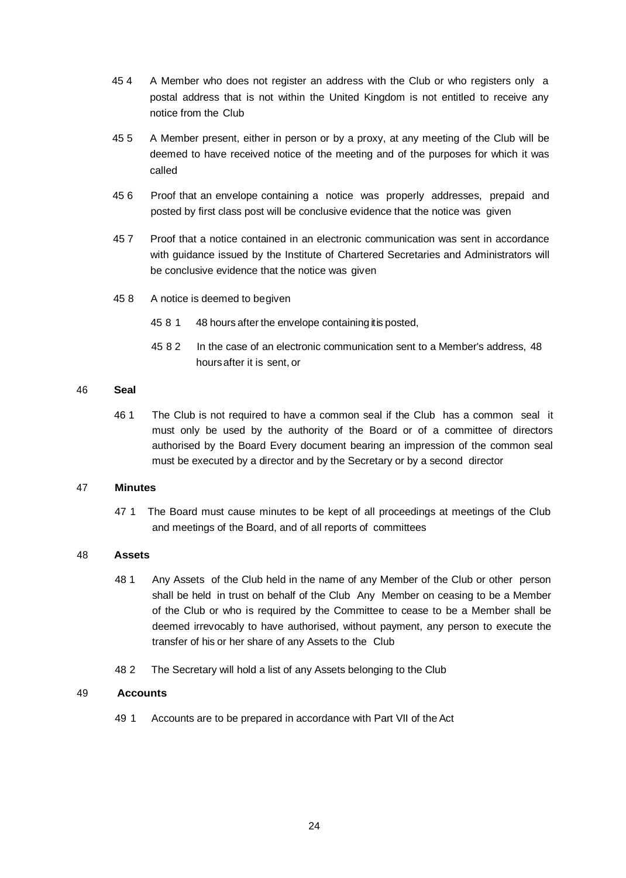- 45 4 A Member who does not register an address with the Club or who registers only a postal address that is not within the United Kingdom is not entitled to receive any notice from the Club
- 45 5 A Member present, either in person or by a proxy, at any meeting of the Club will be deemed to have received notice of the meeting and of the purposes for which it was called
- 45 6 Proof that an envelope containing a notice was properly addresses, prepaid and posted by first class post will be conclusive evidence that the notice was given
- 45 7 Proof that a notice contained in an electronic communication was sent in accordance with guidance issued by the Institute of Chartered Secretaries and Administrators will be conclusive evidence that the notice was given
- 45 8 A notice is deemed to begiven
	- 45 8 1 48 hours after the envelope containing it is posted,
	- 45 8 2 In the case of an electronic communication sent to a Member's address, 48 hoursafter it is sent, or

#### 46 **Seal**

46 1 The Club is not required to have a common seal if the Club has a common seal it must only be used by the authority of the Board or of a committee of directors authorised by the Board Every document bearing an impression of the common seal must be executed by a director and by the Secretary or by a second director

### 47 **Minutes**

47 1 The Board must cause minutes to be kept of all proceedings at meetings of the Club and meetings of the Board, and of all reports of committees

# 48 **Assets**

- 48 1 Any Assets of the Club held in the name of any Member of the Club or other person shall be held in trust on behalf of the Club Any Member on ceasing to be a Member of the Club or who is required by the Committee to cease to be a Member shall be deemed irrevocably to have authorised, without payment, any person to execute the transfer of his or her share of any Assets to the Club
- 48 2 The Secretary will hold a list of any Assets belonging to the Club

#### 49 **Accounts**

49 1 Accounts are to be prepared in accordance with Part VII of the Act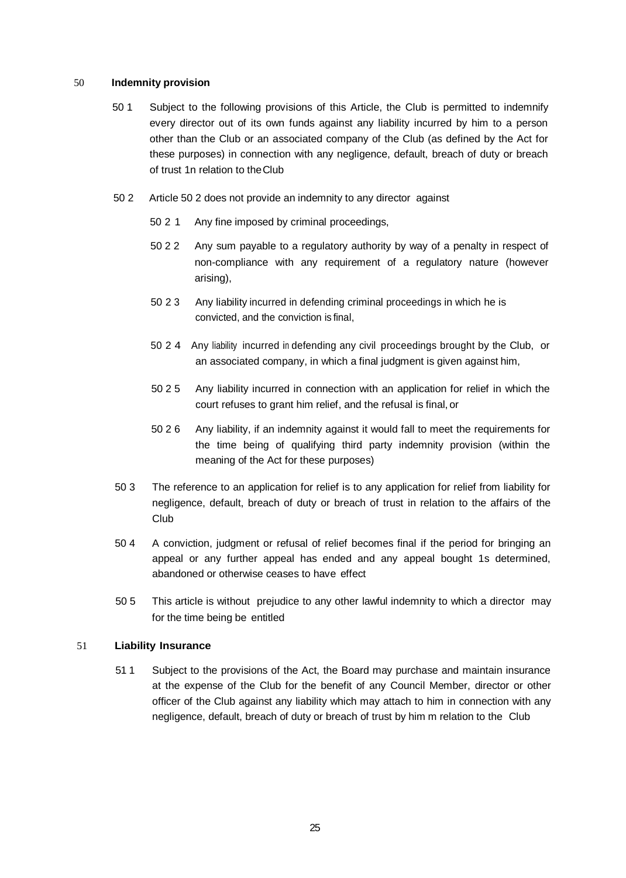#### 50 **Indemnity provision**

- 50 1 Subject to the following provisions of this Article, the Club is permitted to indemnify every director out of its own funds against any liability incurred by him to a person other than the Club or an associated company of the Club (as defined by the Act for these purposes) in connection with any negligence, default, breach of duty or breach of trust 1n relation to theClub
- 50 2 Article 50 2 does not provide an indemnity to any director against
	- 50 2 1 Any fine imposed by criminal proceedings,
	- 50 2 2 Any sum payable to a regulatory authority by way of a penalty in respect of non-compliance with any requirement of a regulatory nature (however arising),
	- 50 2 3 Any liability incurred in defending criminal proceedings in which he is convicted, and the conviction is final,
	- 50 2 4 Any liability incurred in defending any civil proceedings brought by the Club, or an associated company, in which a final judgment is given against him,
	- 50 2 5 Any liability incurred in connection with an application for relief in which the court refuses to grant him relief, and the refusal is final, or
	- 50 2 6 Any liability, if an indemnity against it would fall to meet the requirements for the time being of qualifying third party indemnity provision (within the meaning of the Act for these purposes)
- 50 3 The reference to an application for relief is to any application for relief from liability for negligence, default, breach of duty or breach of trust in relation to the affairs of the Club
- 50 4 A conviction, judgment or refusal of relief becomes final if the period for bringing an appeal or any further appeal has ended and any appeal bought 1s determined, abandoned or otherwise ceases to have effect
- 50 5 This article is without prejudice to any other lawful indemnity to which a director may for the time being be entitled

# 51 **Liability Insurance**

51 1 Subject to the provisions of the Act, the Board may purchase and maintain insurance at the expense of the Club for the benefit of any Council Member, director or other officer of the Club against any liability which may attach to him in connection with any negligence, default, breach of duty or breach of trust by him m relation to the Club